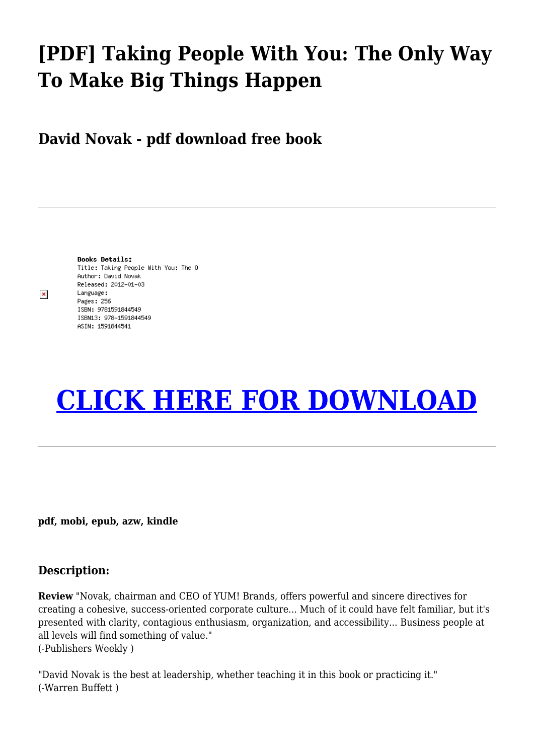## **[PDF] Taking People With You: The Only Way To Make Big Things Happen**

**David Novak - pdf download free book**

 $\pmb{\times}$ 

**Books Details:** Title: Taking People With You: The O Author: David Novak Released: 2012-01-03 Language: Pages: 256 ISBN: 9781591844549 ISBN13: 978-1591844549 ASIN: 1591844541

## **[CLICK HERE FOR DOWNLOAD](http://red.wutf.space/books3/?pid=1474381636&d=20-09-30&dm=null)**

**pdf, mobi, epub, azw, kindle**

## **Description:**

**Review** "Novak, chairman and CEO of YUM! Brands, offers powerful and sincere directives for creating a cohesive, success-oriented corporate culture... Much of it could have felt familiar, but it's presented with clarity, contagious enthusiasm, organization, and accessibility... Business people at all levels will find something of value." (-Publishers Weekly )

"David Novak is the best at leadership, whether teaching it in this book or practicing it." (-Warren Buffett )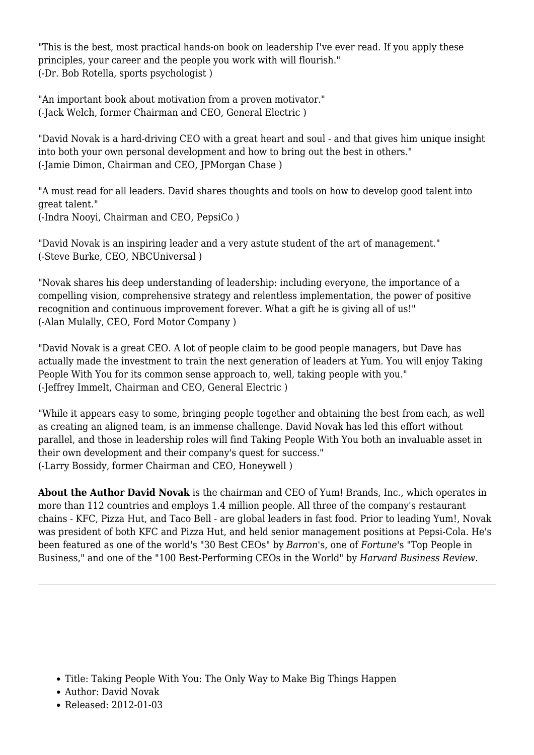"This is the best, most practical hands-on book on leadership I've ever read. If you apply these principles, your career and the people you work with will flourish." (-Dr. Bob Rotella, sports psychologist )

"An important book about motivation from a proven motivator." (-Jack Welch, former Chairman and CEO, General Electric )

"David Novak is a hard-driving CEO with a great heart and soul - and that gives him unique insight into both your own personal development and how to bring out the best in others." (-Jamie Dimon, Chairman and CEO, JPMorgan Chase )

"A must read for all leaders. David shares thoughts and tools on how to develop good talent into great talent." (-Indra Nooyi, Chairman and CEO, PepsiCo )

"David Novak is an inspiring leader and a very astute student of the art of management." (-Steve Burke, CEO, NBCUniversal )

"Novak shares his deep understanding of leadership: including everyone, the importance of a compelling vision, comprehensive strategy and relentless implementation, the power of positive recognition and continuous improvement forever. What a gift he is giving all of us!" (-Alan Mulally, CEO, Ford Motor Company )

"David Novak is a great CEO. A lot of people claim to be good people managers, but Dave has actually made the investment to train the next generation of leaders at Yum. You will enjoy Taking People With You for its common sense approach to, well, taking people with you." (-Jeffrey Immelt, Chairman and CEO, General Electric )

"While it appears easy to some, bringing people together and obtaining the best from each, as well as creating an aligned team, is an immense challenge. David Novak has led this effort without parallel, and those in leadership roles will find Taking People With You both an invaluable asset in their own development and their company's quest for success." (-Larry Bossidy, former Chairman and CEO, Honeywell )

**About the Author David Novak** is the chairman and CEO of Yum! Brands, Inc., which operates in more than 112 countries and employs 1.4 million people. All three of the company's restaurant chains - KFC, Pizza Hut, and Taco Bell - are global leaders in fast food. Prior to leading Yum!, Novak was president of both KFC and Pizza Hut, and held senior management positions at Pepsi-Cola. He's been featured as one of the world's "30 Best CEOs" by *Barron*'s, one of *Fortune*'s "Top People in Business," and one of the "100 Best-Performing CEOs in the World" by *Harvard Business Review*.

- Author: David Novak
- Released: 2012-01-03

Title: Taking People With You: The Only Way to Make Big Things Happen